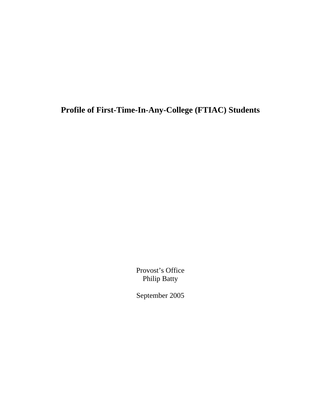**Profile of First-Time-In-Any-College (FTIAC) Students** 

Provost's Office Philip Batty

September 2005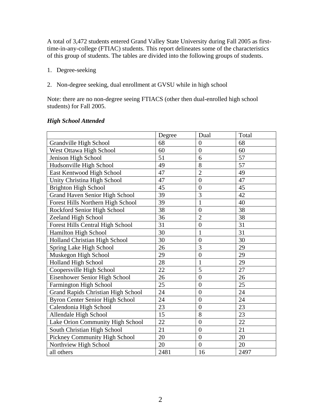A total of 3,472 students entered Grand Valley State University during Fall 2005 as firsttime-in-any-college (FTIAC) students. This report delineates some of the characteristics of this group of students. The tables are divided into the following groups of students.

- 1. Degree-seeking
- 2. Non-degree seeking, dual enrollment at GVSU while in high school

Note: there are no non-degree seeing FTIACS (other then dual-enrolled high school students) for Fall 2005.

|                                           | Degree | Dual             | Total |
|-------------------------------------------|--------|------------------|-------|
| Grandville High School                    | 68     | $\overline{0}$   | 68    |
| West Ottawa High School                   | 60     | $\boldsymbol{0}$ | 60    |
| Jenison High School                       | 51     | 6                | 57    |
| Hudsonville High School                   | 49     | 8                | 57    |
| East Kentwood High School                 | 47     | $\overline{2}$   | 49    |
| Unity Christina High School               | 47     | $\overline{0}$   | 47    |
| <b>Brighton High School</b>               | 45     | $\overline{0}$   | 45    |
| <b>Grand Haven Senior High School</b>     | 39     | 3                | 42    |
| Forest Hills Northern High School         | 39     | $\mathbf{1}$     | 40    |
| Rockford Senior High School               | 38     | $\boldsymbol{0}$ | 38    |
| Zeeland High School                       | 36     | $\overline{2}$   | 38    |
| Forest Hills Central High School          | 31     | $\overline{0}$   | 31    |
| Hamilton High School                      | 30     | 1                | 31    |
| Holland Christian High School             | 30     | $\overline{0}$   | 30    |
| Spring Lake High School                   | 26     | $\overline{3}$   | 29    |
| Muskegon High School                      | 29     | $\overline{0}$   | 29    |
| <b>Holland High School</b>                | 28     | 1                | 29    |
| Coopersville High School                  | 22     | 5                | 27    |
| Eisenhower Senior High School             | 26     | $\overline{0}$   | 26    |
| <b>Farmington High School</b>             | 25     | $\boldsymbol{0}$ | 25    |
| <b>Grand Rapids Christian High School</b> | 24     | $\overline{0}$   | 24    |
| <b>Byron Center Senior High School</b>    | 24     | $\overline{0}$   | 24    |
| Calendonia High School                    | 23     | $\overline{0}$   | 23    |
| Allendale High School                     | 15     | 8                | 23    |
| Lake Orion Community High School          | 22     | $\overline{0}$   | 22    |
| South Christian High School               | 21     | $\overline{0}$   | 21    |
| Pickney Community High School             | 20     | $\boldsymbol{0}$ | 20    |
| Northview High School                     | 20     | $\overline{0}$   | 20    |
| all others                                | 2481   | 16               | 2497  |

#### *High School Attended*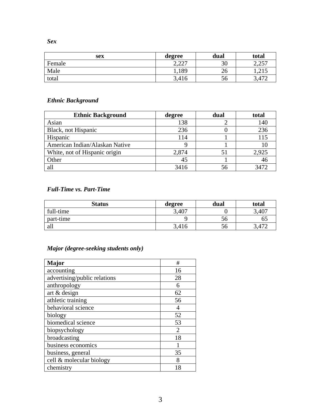*Sex* 

| sex    | degree          | dual | total           |
|--------|-----------------|------|-----------------|
| Female | 2.227<br>4.44 I | 30   | 2.25<br>ل∟∡ ک   |
| Male   | .,189           | 26   | 1.415           |
| total  | 3,416           | 56   | 17 <sup>o</sup> |

#### *Ethnic Background*

| <b>Ethnic Background</b>       | degree | dual | total |
|--------------------------------|--------|------|-------|
| Asian                          | 138    |      | 140   |
| Black, not Hispanic            | 236    |      | 236   |
| Hispanic                       | 114    |      | 115   |
| American Indian/Alaskan Native |        |      |       |
| White, not of Hispanic origin  | 2,874  |      | 2,925 |
| Other                          | 45     |      | 40    |
| all                            | 3416   | 56   | 3472  |

### *Full-Time vs. Part-Time*

| <b>Status</b> | degree | dual | total  |
|---------------|--------|------|--------|
| full-time     | 3,407  |      | 3,407  |
| part-time     |        | 56   |        |
| all           | 3,416  | 56   | $4\pi$ |

## *Major (degree-seeking students only)*

| Major                        | #              |
|------------------------------|----------------|
| accounting                   | 16             |
| advertising/public relations | 28             |
| anthropology                 | 6              |
| art $&$ design               | 62             |
| athletic training            | 56             |
| behavioral science           | $\overline{4}$ |
| biology                      | 52             |
| biomedical science           | 53             |
| biopsychology                | $\mathfrak{D}$ |
| broadcasting                 | 18             |
| business economics           |                |
| business, general            | 35             |
| cell & molecular biology     | 8              |
| chemistry                    | 18             |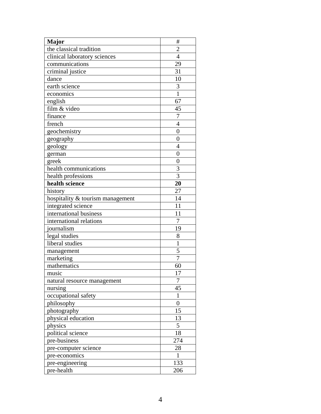| <b>Major</b>                     | #                |
|----------------------------------|------------------|
| the classical tradition          | $\overline{c}$   |
| clinical laboratory sciences     | 4                |
| communications                   | 29               |
| criminal justice                 | 31               |
| dance                            | 10               |
| earth science                    | 3                |
| economics                        | $\mathbf{1}$     |
| english                          | 67               |
| film & video                     | 45               |
| finance                          | 7                |
| french                           | $\overline{4}$   |
| geochemistry                     | $\overline{0}$   |
| geography                        | $\overline{0}$   |
| geology                          | $\overline{4}$   |
| german                           | 0                |
| greek                            | $\overline{0}$   |
| health communications            | 3                |
| health professions               | 3                |
| health science                   | 20               |
| history                          | 27               |
| hospitality & tourism management | 14               |
| integrated science               | 11               |
| international business           | 11               |
| international relations          | $\overline{7}$   |
| journalism                       | 19               |
| legal studies                    | 8                |
| liberal studies                  | $\mathbf{1}$     |
| management                       | 5                |
| marketing                        | $\overline{7}$   |
| mathematics                      | 60               |
| music                            | 17               |
| natural resource management      | 7                |
| nursing                          | 45               |
| occupational safety              | $\mathbf{1}$     |
| philosophy                       | $\boldsymbol{0}$ |
| photography                      | 15               |
| physical education               | 13               |
| physics                          | 5                |
| political science                | 18               |
| pre-business                     | 274              |
| pre-computer science             | 28               |
| pre-economics                    | $\mathbf{1}$     |
| pre-engineering                  | 133              |
| pre-health                       | 206              |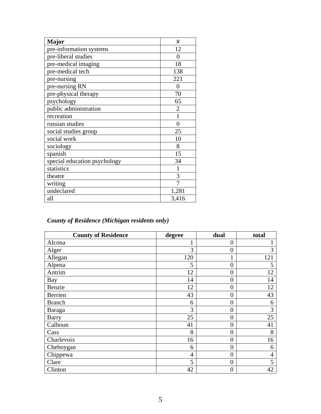| <b>Major</b>                 | #              |
|------------------------------|----------------|
| pre-information systems      | 12             |
| pre-liberal studies          | $\theta$       |
| pre-medical imaging          | 18             |
| pre-medical tech             | 138            |
| pre-nursing                  | 221            |
| pre-nursing RN               | $\overline{0}$ |
| pre-physical therapy         | 70             |
| psychology                   | 65             |
| public administration        | $\overline{2}$ |
| recreation                   |                |
| russian studies              | $\theta$       |
| social studies group         | 25             |
| social work                  | 10             |
| sociology                    | 8              |
| spanish                      | 15             |
| special education psychology | 34             |
| statistics                   | 1              |
| theatre                      | 3              |
| writing                      |                |
| undeclared                   | 1,281          |
| all                          | 3,416          |

# *County of Residence (Michigan residents only)*

| <b>County of Residence</b> | degree | dual             | total |
|----------------------------|--------|------------------|-------|
| Alcona                     | 1      | $\overline{0}$   |       |
| Alger                      | 3      | $\boldsymbol{0}$ | 3     |
| Allegan                    | 120    | $\mathbf{1}$     | 121   |
| Alpena                     | 5      | $\overline{0}$   | 5     |
| Antrim                     | 12     | $\overline{0}$   | 12    |
| Bay                        | 14     | $\boldsymbol{0}$ | 14    |
| Benzie                     | 12     | $\boldsymbol{0}$ | 12    |
| Berrien                    | 43     | $\boldsymbol{0}$ | 43    |
| <b>Branch</b>              | 6      | $\boldsymbol{0}$ | 6     |
| Baraga                     | 3      | $\boldsymbol{0}$ | 3     |
| <b>Barry</b>               | 25     | $\boldsymbol{0}$ | 25    |
| Calhoun                    | 41     | $\boldsymbol{0}$ | 41    |
| Cass                       | 8      | $\overline{0}$   | 8     |
| Charlevoix                 | 16     | $\overline{0}$   | 16    |
| Cheboygan                  | 6      | $\overline{0}$   | 6     |
| Chippewa                   | 4      | $\overline{0}$   | 4     |
| Clare                      | 5      | $\overline{0}$   | 5     |
| Clinton                    | 42     | $\overline{0}$   | 42    |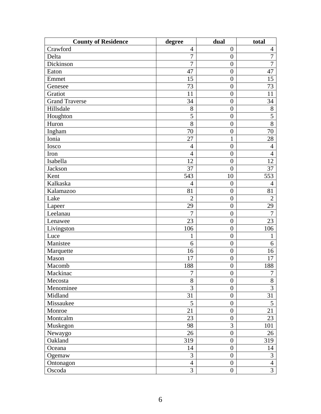| <b>County of Residence</b> | degree           | dual             | total          |
|----------------------------|------------------|------------------|----------------|
| Crawford                   | $\overline{4}$   | $\boldsymbol{0}$ | $\overline{4}$ |
| Delta                      | $\overline{7}$   | $\boldsymbol{0}$ | $\overline{7}$ |
| Dickinson                  | 7                | $\boldsymbol{0}$ | $\overline{7}$ |
| Eaton                      | 47               | $\boldsymbol{0}$ | 47             |
| Emmet                      | 15               | $\boldsymbol{0}$ | 15             |
| Genesee                    | 73               | $\boldsymbol{0}$ | 73             |
| Gratiot                    | 11               | $\boldsymbol{0}$ | 11             |
| <b>Grand Traverse</b>      | 34               | $\boldsymbol{0}$ | 34             |
| Hillsdale                  | 8                | $\boldsymbol{0}$ | 8              |
| Houghton                   | 5                | $\boldsymbol{0}$ | $\overline{5}$ |
| Huron                      | 8                | $\boldsymbol{0}$ | 8              |
| Ingham                     | 70               | $\boldsymbol{0}$ | 70             |
| Ionia                      | 27               | $\mathbf{1}$     | 28             |
| Iosco                      | $\overline{4}$   | $\boldsymbol{0}$ | $\overline{4}$ |
| Iron                       | $\overline{4}$   | $\boldsymbol{0}$ | $\overline{4}$ |
| Isabella                   | 12               | $\boldsymbol{0}$ | 12             |
| Jackson                    | 37               | $\overline{0}$   | 37             |
| Kent                       | 543              | 10               | 553            |
| Kalkaska                   | $\overline{4}$   | $\boldsymbol{0}$ | $\overline{4}$ |
| Kalamazoo                  | 81               | $\boldsymbol{0}$ | 81             |
| Lake                       | $\overline{2}$   | $\boldsymbol{0}$ | $\overline{2}$ |
| Lapeer                     | 29               | $\boldsymbol{0}$ | 29             |
| Leelanau                   | $\overline{7}$   | $\boldsymbol{0}$ | $\overline{7}$ |
| Lenawee                    | 23               | $\boldsymbol{0}$ | 23             |
| Livingston                 | 106              | $\boldsymbol{0}$ | 106            |
| Luce                       | 1                | $\boldsymbol{0}$ | 1              |
| Manistee                   | 6                | $\overline{0}$   | 6              |
| Marquette                  | 16               | $\boldsymbol{0}$ | 16             |
| Mason                      | 17               | $\boldsymbol{0}$ | 17             |
| Macomb                     | 188              | $\boldsymbol{0}$ | 188            |
| Mackinac                   | $\boldsymbol{7}$ | $\boldsymbol{0}$ | 7 <sup>1</sup> |
| Mecosta                    | 8                | $\overline{0}$   | 8              |
| Menominee                  | 3                | $\boldsymbol{0}$ | $\overline{3}$ |
| Midland                    | 31               | $\boldsymbol{0}$ | 31             |
| Missaukee                  | 5                | $\boldsymbol{0}$ | 5              |
| Monroe                     | 21               | $\boldsymbol{0}$ | 21             |
| Montcalm                   | 23               | $\boldsymbol{0}$ | 23             |
| Muskegon                   | 98               | 3                | 101            |
| Newaygo                    | 26               | $\boldsymbol{0}$ | 26             |
| Oakland                    | 319              | $\boldsymbol{0}$ | 319            |
| Oceana                     | 14               | $\boldsymbol{0}$ | 14             |
| Ogemaw                     | 3                | $\boldsymbol{0}$ | 3              |
| Ontonagon                  | $\overline{4}$   | $\boldsymbol{0}$ | $\overline{4}$ |
| Oscoda                     | 3                | $\boldsymbol{0}$ | $\overline{3}$ |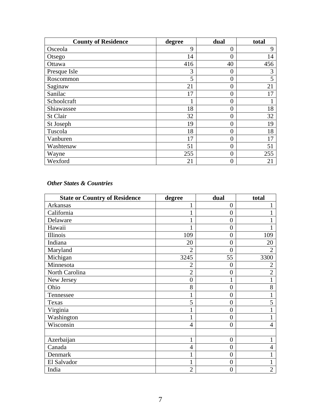| <b>County of Residence</b> | degree | dual             | total |
|----------------------------|--------|------------------|-------|
| Osceola                    | 9      | $\overline{0}$   | 9     |
| Otsego                     | 14     | 0                | 14    |
| Ottawa                     | 416    | 40               | 456   |
| Presque Isle               | 3      | $\overline{0}$   | 3     |
| Roscommon                  | 5      | $\overline{0}$   | 5     |
| Saginaw                    | 21     | $\overline{0}$   | 21    |
| Sanilac                    | 17     | 0                | 17    |
| Schoolcraft                |        | $\boldsymbol{0}$ |       |
| Shiawassee                 | 18     | $\overline{0}$   | 18    |
| St Clair                   | 32     | $\overline{0}$   | 32    |
| St Joseph                  | 19     | $\overline{0}$   | 19    |
| Tuscola                    | 18     | $\overline{0}$   | 18    |
| Vanburen                   | 17     | $\boldsymbol{0}$ | 17    |
| Washtenaw                  | 51     | $\overline{0}$   | 51    |
| Wayne                      | 255    | $\boldsymbol{0}$ | 255   |
| Wexford                    | 21     | $\overline{0}$   | 21    |

### *Other States & Countries*

| <b>State or Country of Residence</b> | degree         | dual             | total          |
|--------------------------------------|----------------|------------------|----------------|
| Arkansas                             | $\mathbf{1}$   | $\overline{0}$   |                |
| California                           |                | $\overline{0}$   |                |
| Delaware                             |                | $\overline{0}$   |                |
| Hawaii                               |                | $\boldsymbol{0}$ |                |
| Illinois                             | 109            | $\boldsymbol{0}$ | 109            |
| Indiana                              | 20             | $\overline{0}$   | 20             |
| Maryland                             | $\overline{2}$ | $\overline{0}$   | 2              |
| Michigan                             | 3245           | 55               | 3300           |
| Minnesota                            | $\overline{2}$ | $\overline{0}$   | $\overline{2}$ |
| North Carolina                       | $\overline{2}$ | $\overline{0}$   | $\overline{2}$ |
| New Jersey                           | $\overline{0}$ | 1                | 1              |
| Ohio                                 | 8              | $\overline{0}$   | 8              |
| Tennessee                            |                | $\overline{0}$   |                |
| Texas                                | 5              | $\overline{0}$   | 5              |
| Virginia                             |                | $\overline{0}$   |                |
| Washington                           |                | $\overline{0}$   |                |
| Wisconsin                            | 4              | $\overline{0}$   | 4              |
|                                      |                |                  |                |
| Azerbaijan                           |                | $\overline{0}$   |                |
| Canada                               | 4              | $\boldsymbol{0}$ | 4              |
| Denmark                              |                | $\boldsymbol{0}$ |                |
| El Salvador                          |                | $\boldsymbol{0}$ | 1              |
| India                                | $\overline{2}$ | $\overline{0}$   | $\overline{2}$ |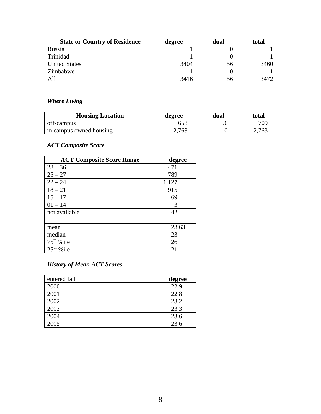| <b>State or Country of Residence</b> | degree | dual | total |
|--------------------------------------|--------|------|-------|
| Russia                               |        |      |       |
| Trinidad                             |        |      |       |
| <b>United States</b>                 | 3404   | 56   | 3460  |
| Zimbabwe                             |        |      |       |
| All                                  | 3416   | 56   |       |

# *Where Living*

| <b>Housing Location</b> | degree | dual | total |
|-------------------------|--------|------|-------|
| off-campus              | 653    |      | 709   |
| in campus owned housing | 2,763  |      | 2,763 |

# *ACT Composite Score*

| <b>ACT Composite Score Range</b>   | degree |
|------------------------------------|--------|
| $28 - 36$                          | 471    |
| $25 - 27$                          | 789    |
| $22 - 24$                          | 1,127  |
| $18 - 21$                          | 915    |
| $15 - 17$                          | 69     |
| $01 - 14$                          | 3      |
| not available                      | 42     |
|                                    |        |
| mean                               | 23.63  |
| median                             | 23     |
| $\overline{75}$ <sup>th</sup> %ile | 26     |
| $2\overline{5^{th}}$<br>%ile       | 21     |

#### *History of Mean ACT Scores*

| entered fall | degree |
|--------------|--------|
| 2000         | 22.9   |
| 2001         | 22.8   |
| 2002         | 23.2   |
| 2003         | 23.3   |
| 2004         | 23.6   |
| 2005         | 23.6   |